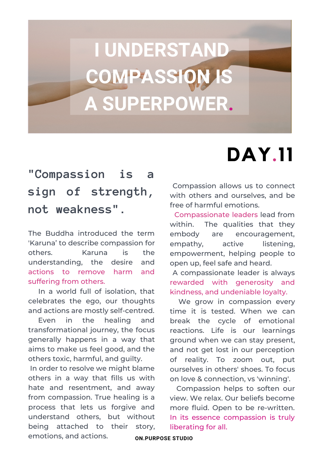# **I UNDERSTAND COMPASSION IS A SUPERPOWER.**

### **"Compassion is a sign of strength, not weakness".**

The Buddha introduced the term 'Karuna' to describe compassion for others. Karuna is the understanding, the desire and actions to remove harm and suffering from others.

In a world full of isolation, that celebrates the ego, our thoughts and actions are mostly self-centred.

Even in the healing and transformational journey, the focus generally happens in a way that aims to make us feel good, and the others toxic, harmful, and guilty.

In order to resolve we might blame others in a way that fills us with hate and resentment, and away from compassion. True healing is a process that lets us forgive and understand others, but without being attached to their story, emotions, and actions.

### **DAY.11**

Compassion allows us to connect with others and ourselves, and be free of harmful emotions.

Compassionate leaders lead from within. The qualities that they embody are encouragement, empathy, active listening, empowerment, helping people to open up, feel safe and heard.

A compassionate leader is always rewarded with generosity and kindness, and undeniable loyalty.

We grow in compassion every time it is tested. When we can break the cycle of emotional reactions. Life is our learnings ground when we can stay present, and not get lost in our perception of reality. To zoom out, put ourselves in others' shoes. To focus on love & connection, vs 'winning'.

Compassion helps to soften our view. We relax. Our beliefs become more fluid. Open to be re-written. In its essence compassion is truly liberating for all.

**ON.PURPOSE STUDIO**